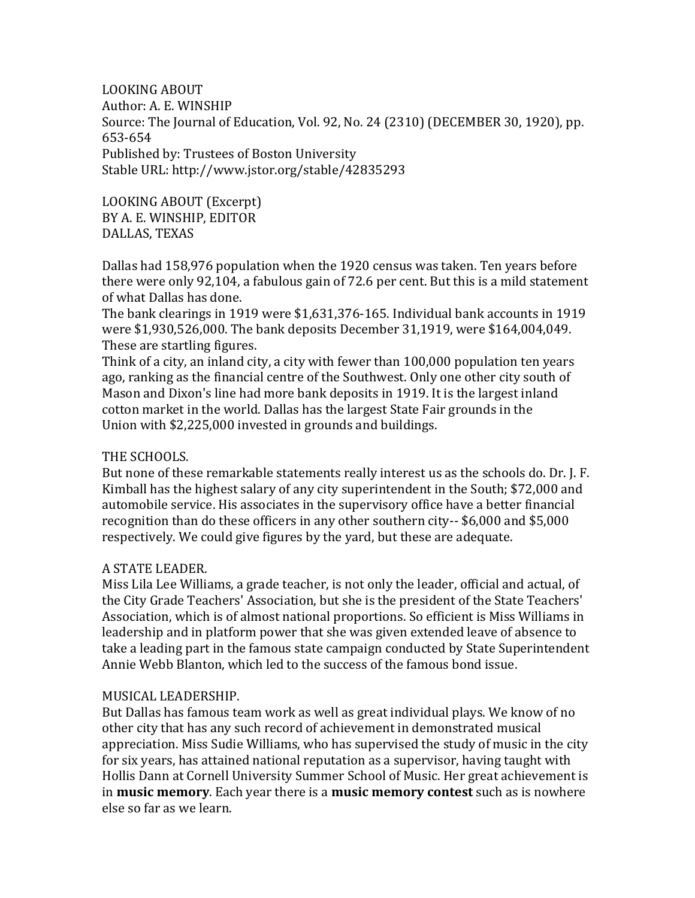LOOKING ABOUT Author: A. E. WINSHIP Source: The Journal of Education, Vol. 92, No. 24 (2310) (DECEMBER 30, 1920), pp. 653-654 Published by: Trustees of Boston University Stable URL: http://www.jstor.org/stable/42835293

LOOKING ABOUT (Excerpt) BY A. E. WINSHIP, EDITOR DALLAS, TEXAS

Dallas had 158,976 population when the 1920 census was taken. Ten years before there were only 92,104, a fabulous gain of 72.6 per cent. But this is a mild statement of what Dallas has done.

The bank clearings in 1919 were \$1,631,376-165. Individual bank accounts in 1919 were \$1,930,526,000. The bank deposits December 31,1919, were \$164,004,049. These are startling figures.

Think of a city, an inland city, a city with fewer than 100,000 population ten years ago, ranking as the financial centre of the Southwest. Only one other city south of Mason and Dixon's line had more bank deposits in 1919. It is the largest inland cotton market in the world. Dallas has the largest State Fair grounds in the Union with \$2,225,000 invested in grounds and buildings.

## THE SCHOOLS.

But none of these remarkable statements really interest us as the schools do. Dr. J. F. Kimball has the highest salary of any city superintendent in the South; \$72,000 and automobile service. His associates in the supervisory office have a better financial recognition than do these officers in any other southern city-- \$6,000 and \$5,000 respectively. We could give figures by the yard, but these are adequate.

## A STATE LEADER.

Miss Lila Lee Williams, a grade teacher, is not only the leader, official and actual, of the City Grade Teachers' Association, but she is the president of the State Teachers' Association, which is of almost national proportions. So efficient is Miss Williams in leadership and in platform power that she was given extended leave of absence to take a leading part in the famous state campaign conducted by State Superintendent Annie Webb Blanton, which led to the success of the famous bond issue.

## MUSICAL LEADERSHIP.

But Dallas has famous team work as well as great individual plays. We know of no other city that has any such record of achievement in demonstrated musical appreciation. Miss Sudie Williams, who has supervised the study of music in the city for six years, has attained national reputation as a supervisor, having taught with Hollis Dann at Cornell University Summer School of Music. Her great achievement is in **music memory**. Each year there is a **music memory contest** such as is nowhere else so far as we learn.